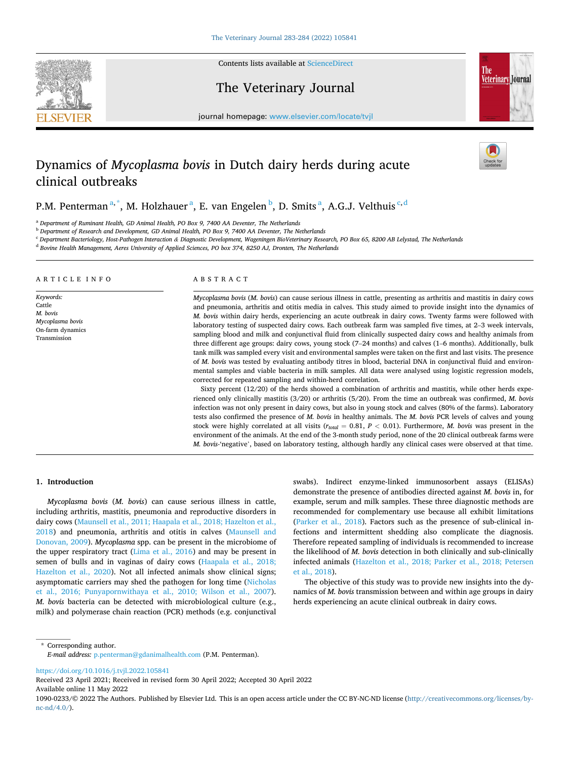

Contents lists available at [ScienceDirect](www.sciencedirect.com/science/journal/10900233)

## The Veterinary Journal



journal homepage: [www.elsevier.com/locate/tvjl](https://www.elsevier.com/locate/tvjl)

# Dynamics of *Mycoplasma bovis* in Dutch dairy herds during acute clinical outbreaks

P.M. Penterman<sup>a,\*</sup>, M. Holzhauer<sup>a</sup>, E. van Engelen<sup>b</sup>, D. Smits<sup>a</sup>, A.G.J. Velthuis<sup>c,d</sup>

<sup>a</sup> *Department of Ruminant Health, GD Animal Health, PO Box 9, 7400 AA Deventer, The Netherlands* 

<sup>b</sup> *Department of Research and Development, GD Animal Health, PO Box 9, 7400 AA Deventer, The Netherlands* 

<sup>c</sup> *Department Bacteriology, Host-Pathogen Interaction & Diagnostic Development, Wageningen BioVeterinary Research, PO Box 65, 8200 AB Lelystad, The Netherlands* 

<sup>d</sup> *Bovine Health Management, Aeres University of Applied Sciences, PO box 374, 8250 AJ, Dronten, The Netherlands* 

## ARTICLE INFO

*Keywords:*  Cattle *M. bovis Mycoplasma bovis*  On-farm dynamics Transmission

#### ABSTRACT

*Mycoplasma bovis* (*M. bovis*) can cause serious illness in cattle, presenting as arthritis and mastitis in dairy cows and pneumonia, arthritis and otitis media in calves. This study aimed to provide insight into the dynamics of *M. bovis* within dairy herds, experiencing an acute outbreak in dairy cows. Twenty farms were followed with laboratory testing of suspected dairy cows. Each outbreak farm was sampled five times, at 2–3 week intervals, sampling blood and milk and conjunctival fluid from clinically suspected dairy cows and healthy animals from three different age groups: dairy cows, young stock (7–24 months) and calves (1–6 months). Additionally, bulk tank milk was sampled every visit and environmental samples were taken on the first and last visits. The presence of *M. bovis* was tested by evaluating antibody titres in blood, bacterial DNA in conjunctival fluid and environmental samples and viable bacteria in milk samples. All data were analysed using logistic regression models, corrected for repeated sampling and within-herd correlation.

Sixty percent (12/20) of the herds showed a combination of arthritis and mastitis, while other herds experienced only clinically mastitis (3/20) or arthritis (5/20). From the time an outbreak was confirmed, *M. bovis*  infection was not only present in dairy cows, but also in young stock and calves (80% of the farms). Laboratory tests also confirmed the presence of *M. bovis* in healthy animals. The *M. bovis* PCR levels of calves and young stock were highly correlated at all visits (*rtotal* = 0.81, *P <* 0.01). Furthermore, *M. bovis* was present in the environment of the animals. At the end of the 3-month study period, none of the 20 clinical outbreak farms were *M. bovis-*'negative', based on laboratory testing, although hardly any clinical cases were observed at that time.

### **1. Introduction**

*Mycoplasma bovis* (*M. bovis*) can cause serious illness in cattle, including arthritis, mastitis, pneumonia and reproductive disorders in dairy cows ([Maunsell et al., 2011; Haapala et al., 2018; Hazelton et al.,](#page-6-0)  [2018\)](#page-6-0) and pneumonia, arthritis and otitis in calves [\(Maunsell and](#page-6-0)  [Donovan, 2009\)](#page-6-0). *Mycoplasma* spp. can be present in the microbiome of the upper respiratory tract [\(Lima et al., 2016](#page-6-0)) and may be present in semen of bulls and in vaginas of dairy cows ([Haapala et al., 2018;](#page-5-0)  [Hazelton et al., 2020\)](#page-5-0). Not all infected animals show clinical signs; asymptomatic carriers may shed the pathogen for long time [\(Nicholas](#page-6-0)  [et al., 2016; Punyapornwithaya et al., 2010; Wilson et al., 2007](#page-6-0)). *M. bovis* bacteria can be detected with microbiological culture (e.g., milk) and polymerase chain reaction (PCR) methods (e.g. conjunctival

swabs). Indirect enzyme-linked immunosorbent assays (ELISAs) demonstrate the presence of antibodies directed against *M. bovis* in, for example, serum and milk samples. These three diagnostic methods are recommended for complementary use because all exhibit limitations ([Parker et al., 2018](#page-6-0)). Factors such as the presence of sub-clinical infections and intermittent shedding also complicate the diagnosis. Therefore repeated sampling of individuals is recommended to increase the likelihood of *M. bovis* detection in both clinically and sub-clinically infected animals ([Hazelton et al., 2018; Parker et al., 2018; Petersen](#page-5-0)  [et al., 2018\)](#page-5-0).

The objective of this study was to provide new insights into the dynamics of *M. bovis* transmission between and within age groups in dairy herds experiencing an acute clinical outbreak in dairy cows.

\* Corresponding author. *E-mail address:* [p.penterman@gdanimalhealth.com](mailto:p.penterman@gdanimalhealth.com) (P.M. Penterman).

<https://doi.org/10.1016/j.tvjl.2022.105841>

Available online 11 May 2022 Received 23 April 2021; Received in revised form 30 April 2022; Accepted 30 April 2022

1090-0233/© 2022 The Authors. Published by Elsevier Ltd. This is an open access article under the CC BY-NC-ND license([http://creativecommons.org/licenses/by](http://creativecommons.org/licenses/by-nc-nd/4.0/)[nc-nd/4.0/](http://creativecommons.org/licenses/by-nc-nd/4.0/)).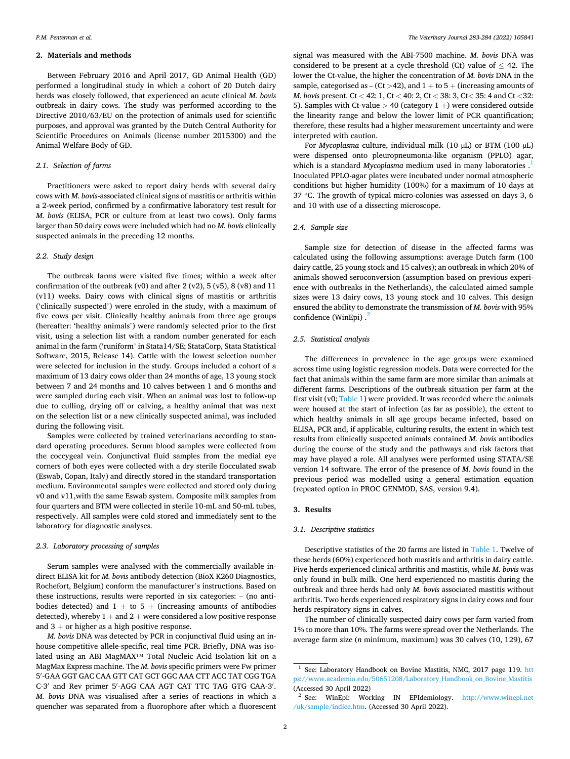## **2. Materials and methods**

Between February 2016 and April 2017, GD Animal Health (GD) performed a longitudinal study in which a cohort of 20 Dutch dairy herds was closely followed, that experienced an acute clinical *M. bovis*  outbreak in dairy cows. The study was performed according to the Directive 2010/63/EU on the protection of animals used for scientific purposes, and approval was granted by the Dutch Central Authority for Scientific Procedures on Animals (license number 2015300) and the Animal Welfare Body of GD.

#### *2.1. Selection of farms*

Practitioners were asked to report dairy herds with several dairy cows with *M. bovis*-associated clinical signs of mastitis or arthritis within a 2-week period, confirmed by a confirmative laboratory test result for *M. bovis* (ELISA, PCR or culture from at least two cows). Only farms larger than 50 dairy cows were included which had no *M. bovis* clinically suspected animals in the preceding 12 months.

## *2.2. Study design*

The outbreak farms were visited five times; within a week after confirmation of the outbreak  $(v0)$  and after 2  $(v2)$ , 5  $(v5)$ , 8  $(v8)$  and 11 (v11) weeks. Dairy cows with clinical signs of mastitis or arthritis ('clinically suspected') were enroled in the study, with a maximum of five cows per visit. Clinically healthy animals from three age groups (hereafter: 'healthy animals') were randomly selected prior to the first visit, using a selection list with a random number generated for each animal in the farm ('runiform' in Stata14/SE; StataCorp, Stata Statistical Software, 2015, Release 14). Cattle with the lowest selection number were selected for inclusion in the study. Groups included a cohort of a maximum of 13 dairy cows older than 24 months of age, 13 young stock between 7 and 24 months and 10 calves between 1 and 6 months and were sampled during each visit. When an animal was lost to follow-up due to culling, drying off or calving, a healthy animal that was next on the selection list or a new clinically suspected animal, was included during the following visit.

Samples were collected by trained veterinarians according to standard operating procedures. Serum blood samples were collected from the coccygeal vein. Conjunctival fluid samples from the medial eye corners of both eyes were collected with a dry sterile flocculated swab (Eswab, Copan, Italy) and directly stored in the standard transportation medium. Environmental samples were collected and stored only during v0 and v11,with the same Eswab system. Composite milk samples from four quarters and BTM were collected in sterile 10-mL and 50-mL tubes, respectively. All samples were cold stored and immediately sent to the laboratory for diagnostic analyses.

### *2.3. Laboratory processing of samples*

Serum samples were analysed with the commercially available indirect ELISA kit for *M. bovis* antibody detection (BioX K260 Diagnostics, Rochefort, Belgium) conform the manufacturer's instructions. Based on these instructions, results were reported in six categories: – (no antibodies detected) and  $1 +$  to  $5 +$  (increasing amounts of antibodies detected), whereby  $1 +$  and  $2 +$  were considered a low positive response and  $3 +$  or higher as a high positive response.

*M. bovis* DNA was detected by PCR in conjunctival fluid using an inhouse competitive allele-specific, real time PCR. Briefly, DNA was isolated using an ABI MagMAX™ Total Nucleic Acid Isolation kit on a MagMax Express machine. The *M. bovis* specific primers were Fw primer 5′ -GAA GGT GAC CAA GTT CAT GCT GGC AAA CTT ACC TAT CGG TGA C-3′ and Rev primer 5′ -AGG CAA AGT CAT TTC TAG GTG CAA-3′ . *M. bovis* DNA was visualised after a series of reactions in which a quencher was separated from a fluorophore after which a fluorescent

signal was measured with the ABI-7500 machine. *M. bovis* DNA was considered to be present at a cycle threshold (Ct) value of  $\leq$  42. The lower the Ct-value, the higher the concentration of *M. bovis* DNA in the sample, categorised as  $-$  (Ct  $>$  42), and  $1 +$  to  $5 +$  (increasing amounts of *M. bovis* present. Ct *<* 42: 1, Ct *<* 40: 2, Ct *<* 38: 3, Ct*<* 35: 4 and Ct *<*32: 5). Samples with Ct-value *>* 40 (category 1 +) were considered outside the linearity range and below the lower limit of PCR quantification; therefore, these results had a higher measurement uncertainty and were interpreted with caution.

For *Mycoplasma* culture, individual milk (10 µL) or BTM (100 µL) were dispensed onto pleuropneumonia-like organism (PPLO) agar, which is a standard *Mycoplasma* medium used in many laboratories . 1 Inoculated PPLO-agar plates were incubated under normal atmospheric conditions but higher humidity (100%) for a maximum of 10 days at 37 °C. The growth of typical micro-colonies was assessed on days 3, 6 and 10 with use of a dissecting microscope.

## *2.4. Sample size*

Sample size for detection of disease in the affected farms was calculated using the following assumptions: average Dutch farm (100 dairy cattle, 25 young stock and 15 calves); an outbreak in which 20% of animals showed seroconversion (assumption based on previous experience with outbreaks in the Netherlands), the calculated aimed sample sizes were 13 dairy cows, 13 young stock and 10 calves. This design ensured the ability to demonstrate the transmission of *M. bovis* with 95% confidence (WinEpi) . 2

## *2.5. Statistical analysis*

The differences in prevalence in the age groups were examined across time using logistic regression models. Data were corrected for the fact that animals within the same farm are more similar than animals at different farms. Descriptions of the outbreak situation per farm at the first visit (v0; [Table 1](#page-2-0)) were provided. It was recorded where the animals were housed at the start of infection (as far as possible), the extent to which healthy animals in all age groups became infected, based on ELISA, PCR and, if applicable, culturing results, the extent in which test results from clinically suspected animals contained *M. bovis* antibodies during the course of the study and the pathways and risk factors that may have played a role. All analyses were performed using STATA/SE version 14 software. The error of the presence of *M. bovis* found in the previous period was modelled using a general estimation equation (repeated option in PROC GENMOD, SAS, version 9.4).

## **3. Results**

## *3.1. Descriptive statistics*

Descriptive statistics of the 20 farms are listed in [Table 1.](#page-2-0) Twelve of these herds (60%) experienced both mastitis and arthritis in dairy cattle. Five herds experienced clinical arthritis and mastitis, while *M. bovis* was only found in bulk milk. One herd experienced no mastitis during the outbreak and three herds had only *M. bovis* associated mastitis without arthritis. Two herds experienced respiratory signs in dairy cows and four herds respiratory signs in calves.

The number of clinically suspected dairy cows per farm varied from 1% to more than 10%. The farms were spread over the Netherlands. The average farm size (*n* minimum, maximum) was 30 calves (10, 129), 67

<sup>&</sup>lt;sup>1</sup> See: Laboratory Handbook on Bovine Mastitis, NMC, 2017 page 119. htt [ps://www.academia.edu/50651208/Laboratory\\_Handbook\\_on\\_Bovine\\_Mastitis](https://www.academia.edu/50651208/Laboratory_Handbook_on_Bovine_Mastitis) (Accessed 30 April 2022)<br><sup>2</sup> See: WinEpi: Working IN EPIdemiology. http://www.winepi.net

[<sup>/</sup>uk/sample/indice.htm](http://www.winepi.net/uk/sample/indice.htm). (Accessed 30 April 2022).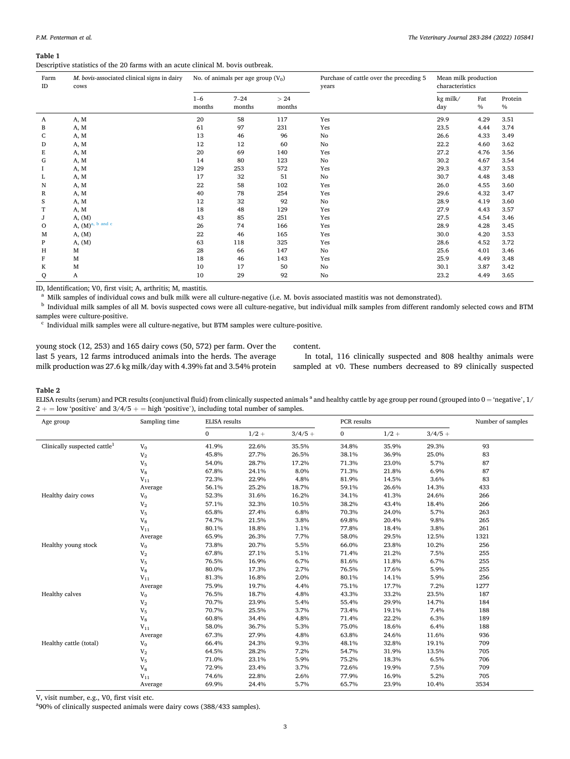#### <span id="page-2-0"></span>**Table 1**

Descriptive statistics of the 20 farms with an acute clinical M. bovis outbreak.

| Farm<br>ID | M. bovis-associated clinical signs in dairy<br>cows |                   | No. of animals per age group $(V_0)$ |               | Purchase of cattle over the preceding 5<br>years | Mean milk production<br>characteristics |             |                 |
|------------|-----------------------------------------------------|-------------------|--------------------------------------|---------------|--------------------------------------------------|-----------------------------------------|-------------|-----------------|
|            |                                                     | $1 - 6$<br>months | $7 - 24$<br>months                   | >24<br>months |                                                  | kg milk/<br>day                         | Fat<br>$\%$ | Protein<br>$\%$ |
| A          | A, M                                                | 20                | 58                                   | 117           | Yes                                              | 29.9                                    | 4.29        | 3.51            |
| B          | A, M                                                | 61                | 97                                   | 231           | Yes                                              | 23.5                                    | 4.44        | 3.74            |
| C          | A, M                                                | 13                | 46                                   | 96            | No                                               | 26.6                                    | 4.33        | 3.49            |
| D          | A, M                                                | 12                | 12                                   | 60            | No                                               | 22.2                                    | 4.60        | 3.62            |
| E          | A, M                                                | 20                | 69                                   | 140           | Yes                                              | 27.2                                    | 4.76        | 3.56            |
| G          | A, M                                                | 14                | 80                                   | 123           | No                                               | 30.2                                    | 4.67        | 3.54            |
|            | A, M                                                | 129               | 253                                  | 572           | Yes                                              | 29.3                                    | 4.37        | 3.53            |
| L          | A, M                                                | 17                | 32                                   | 51            | No                                               | 30.7                                    | 4.48        | 3.48            |
| N          | A, M                                                | 22                | 58                                   | 102           | Yes                                              | 26.0                                    | 4.55        | 3.60            |
| R          | A, M                                                | 40                | 78                                   | 254           | Yes                                              | 29.6                                    | 4.32        | 3.47            |
| S          | A, M                                                | 12                | 32                                   | 92            | No                                               | 28.9                                    | 4.19        | 3.60            |
|            | A, M                                                | 18                | 48                                   | 129           | Yes                                              | 27.9                                    | 4.43        | 3.57            |
| J          | A, (M)                                              | 43                | 85                                   | 251           | Yes                                              | 27.5                                    | 4.54        | 3.46            |
| O          | A, $(M)^{a, b}$ and c                               | 26                | 74                                   | 166           | Yes                                              | 28.9                                    | 4.28        | 3.45            |
| M          | A, (M)                                              | 22                | 46                                   | 165           | Yes                                              | 30.0                                    | 4.20        | 3.53            |
| P          | A, (M)                                              | 63                | 118                                  | 325           | Yes                                              | 28.6                                    | 4.52        | 3.72            |
| Н          | M                                                   | 28                | 66                                   | 147           | No                                               | 25.6                                    | 4.01        | 3.46            |
| F          | M                                                   | 18                | 46                                   | 143           | Yes                                              | 25.9                                    | 4.49        | 3.48            |
| K          | М                                                   | 10                | 17                                   | 50            | No                                               | 30.1                                    | 3.87        | 3.42            |
| Q          | A                                                   | 10                | 29                                   | 92            | No                                               | 23.2                                    | 4.49        | 3.65            |

ID, Identification; V0, first visit; A, arthritis; M, mastitis.<br><sup>a</sup> Milk samples of individual cows and bulk milk were all culture-negative (i.e. M. bovis associated mastitis was not demonstrated).<br><sup>b</sup> Individual milk sam

 $\cdot$  Individual milk samples were all culture-negative, but BTM samples were culture-positive.

young stock (12, 253) and 165 dairy cows (50, 572) per farm. Over the last 5 years, 12 farms introduced animals into the herds. The average milk production was 27.6 kg milk/day with 4.39% fat and 3.54% protein content.

In total, 116 clinically suspected and 808 healthy animals were sampled at v0. These numbers decreased to 89 clinically suspected

#### **Table 2**

ELISA results (serum) and PCR results (conjunctival fluid) from clinically suspected animals <sup>a</sup> and healthy cattle by age group per round (grouped into 0 = 'negative', 1/  $2 +$  = low 'positive' and  $3/4/5 +$  = high 'positive'), including total number of samples.

| Age group                                | Sampling time  | <b>ELISA</b> results |         |           | PCR results |         |           | Number of samples |
|------------------------------------------|----------------|----------------------|---------|-----------|-------------|---------|-----------|-------------------|
|                                          |                | $\mathbf{0}$         | $1/2 +$ | $3/4/5 +$ | 0           | $1/2 +$ | $3/4/5 +$ |                   |
| Clinically suspected cattle <sup>1</sup> | $V_0$          | 41.9%                | 22.6%   | 35.5%     | 34.8%       | 35.9%   | 29.3%     | 93                |
|                                          | $\rm V_2$      | 45.8%                | 27.7%   | 26.5%     | 38.1%       | 36.9%   | 25.0%     | 83                |
|                                          | V <sub>5</sub> | 54.0%                | 28.7%   | 17.2%     | 71.3%       | 23.0%   | 5.7%      | 87                |
|                                          | $V_8$          | 67.8%                | 24.1%   | 8.0%      | 71.3%       | 21.8%   | 6.9%      | 87                |
|                                          | $V_{11}$       | 72.3%                | 22.9%   | 4.8%      | 81.9%       | 14.5%   | 3.6%      | 83                |
|                                          | Average        | 56.1%                | 25.2%   | 18.7%     | 59.1%       | 26.6%   | 14.3%     | 433               |
| Healthy dairy cows                       | $V_0$          | 52.3%                | 31.6%   | 16.2%     | 34.1%       | 41.3%   | 24.6%     | 266               |
|                                          | V <sub>2</sub> | 57.1%                | 32.3%   | 10.5%     | 38.2%       | 43.4%   | 18.4%     | 266               |
|                                          | $V_5$          | 65.8%                | 27.4%   | 6.8%      | 70.3%       | 24.0%   | 5.7%      | 263               |
|                                          | $\rm V_8$      | 74.7%                | 21.5%   | 3.8%      | 69.8%       | 20.4%   | 9.8%      | 265               |
|                                          | $V_{11}$       | 80.1%                | 18.8%   | 1.1%      | 77.8%       | 18.4%   | 3.8%      | 261               |
|                                          | Average        | 65.9%                | 26.3%   | 7.7%      | 58.0%       | 29.5%   | 12.5%     | 1321              |
| Healthy young stock                      | $V_0$          | 73.8%                | 20.7%   | 5.5%      | 66.0%       | 23.8%   | 10.2%     | 256               |
|                                          | V <sub>2</sub> | 67.8%                | 27.1%   | 5.1%      | 71.4%       | 21.2%   | 7.5%      | 255               |
|                                          | $V_5$          | 76.5%                | 16.9%   | 6.7%      | 81.6%       | 11.8%   | 6.7%      | 255               |
|                                          | $\rm V_8$      | 80.0%                | 17.3%   | 2.7%      | 76.5%       | 17.6%   | 5.9%      | 255               |
|                                          | $V_{11}$       | 81.3%                | 16.8%   | 2.0%      | 80.1%       | 14.1%   | 5.9%      | 256               |
|                                          | Average        | 75.9%                | 19.7%   | 4.4%      | 75.1%       | 17.7%   | 7.2%      | 1277              |
| Healthy calves                           | $V_0$          | 76.5%                | 18.7%   | 4.8%      | 43.3%       | 33.2%   | 23.5%     | 187               |
|                                          | V <sub>2</sub> | 70.7%                | 23.9%   | 5.4%      | 55.4%       | 29.9%   | 14.7%     | 184               |
|                                          | $V_5$          | 70.7%                | 25.5%   | 3.7%      | 73.4%       | 19.1%   | 7.4%      | 188               |
|                                          | $\rm V_8$      | 60.8%                | 34.4%   | 4.8%      | 71.4%       | 22.2%   | 6.3%      | 189               |
|                                          | $V_{11}$       | 58.0%                | 36.7%   | 5.3%      | 75.0%       | 18.6%   | 6.4%      | 188               |
|                                          | Average        | 67.3%                | 27.9%   | 4.8%      | 63.8%       | 24.6%   | 11.6%     | 936               |
| Healthy cattle (total)                   | $V_0$          | 66.4%                | 24.3%   | 9.3%      | 48.1%       | 32.8%   | 19.1%     | 709               |
|                                          | $\rm V_2$      | 64.5%                | 28.2%   | 7.2%      | 54.7%       | 31.9%   | 13.5%     | 705               |
|                                          | $V_5$          | 71.0%                | 23.1%   | 5.9%      | 75.2%       | 18.3%   | 6.5%      | 706               |
|                                          | $V_8$          | 72.9%                | 23.4%   | 3.7%      | 72.6%       | 19.9%   | 7.5%      | 709               |
|                                          | $V_{11}$       | 74.6%                | 22.8%   | 2.6%      | 77.9%       | 16.9%   | 5.2%      | 705               |
|                                          | Average        | 69.9%                | 24.4%   | 5.7%      | 65.7%       | 23.9%   | 10.4%     | 3534              |

V, visit number, e.g., V0, first visit etc.

90% of clinically suspected animals were dairy cows (388/433 samples).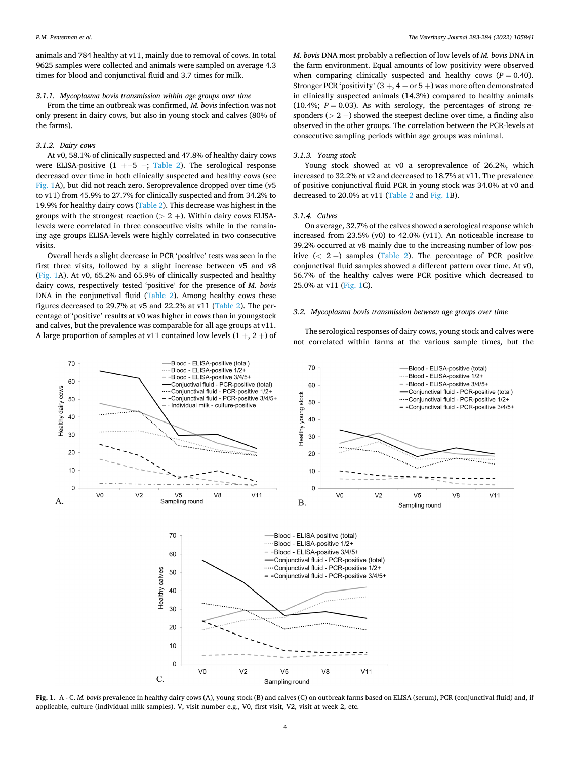animals and 784 healthy at v11, mainly due to removal of cows. In total 9625 samples were collected and animals were sampled on average 4.3 times for blood and conjunctival fluid and 3.7 times for milk.

## *3.1.1. Mycoplasma bovis transmission within age groups over time*

From the time an outbreak was confirmed, *M. bovis* infection was not only present in dairy cows, but also in young stock and calves (80% of the farms).

#### *3.1.2. Dairy cows*

At v0, 58.1% of clinically suspected and 47.8% of healthy dairy cows were ELISA-positive  $(1 +-5 +;$  [Table 2\)](#page-2-0). The serological response decreased over time in both clinically suspected and healthy cows (see Fig. 1A), but did not reach zero. Seroprevalence dropped over time (v5 to v11) from 45.9% to 27.7% for clinically suspected and from 34.2% to 19.9% for healthy dairy cows [\(Table 2](#page-2-0)). This decrease was highest in the groups with the strongest reaction ( $> 2 +$ ). Within dairy cows ELISAlevels were correlated in three consecutive visits while in the remaining age groups ELISA-levels were highly correlated in two consecutive visits.

Overall herds a slight decrease in PCR 'positive' tests was seen in the first three visits, followed by a slight increase between v5 and v8 (Fig. 1A). At v0, 65.2% and 65.9% of clinically suspected and healthy dairy cows, respectively tested 'positive' for the presence of *M. bovis*  DNA in the conjunctival fluid ([Table 2](#page-2-0)). Among healthy cows these figures decreased to 29.7% at v5 and 22.2% at v11 ([Table 2](#page-2-0)). The percentage of 'positive' results at v0 was higher in cows than in youngstock and calves, but the prevalence was comparable for all age groups at v11. A large proportion of samples at v11 contained low levels  $(1 +, 2 +)$  of

*M. bovis* DNA most probably a reflection of low levels of *M. bovis* DNA in the farm environment. Equal amounts of low positivity were observed when comparing clinically suspected and healthy cows  $(P = 0.40)$ . Stronger PCR 'positivity'  $(3 +, 4 + or 5 +)$  was more often demonstrated in clinically suspected animals (14.3%) compared to healthy animals (10.4%;  $P = 0.03$ ). As with serology, the percentages of strong responders (*>* 2 +) showed the steepest decline over time, a finding also observed in the other groups. The correlation between the PCR-levels at consecutive sampling periods within age groups was minimal.

#### *3.1.3. Young stock*

Young stock showed at v0 a seroprevalence of 26.2%, which increased to 32.2% at v2 and decreased to 18.7% at v11. The prevalence of positive conjunctival fluid PCR in young stock was 34.0% at v0 and decreased to 20.0% at v11 ([Table 2](#page-2-0) and Fig. 1B).

## *3.1.4. Calves*

On average, 32.7% of the calves showed a serological response which increased from 23.5% (v0) to 42.0% (v11). An noticeable increase to 39.2% occurred at v8 mainly due to the increasing number of low positive  $( $2 +$ ) samples (Table 2). The percentage of PCR positive$  $( $2 +$ ) samples (Table 2). The percentage of PCR positive$  $( $2 +$ ) samples (Table 2). The percentage of PCR positive$ conjunctival fluid samples showed a different pattern over time. At v0, 56.7% of the healthy calves were PCR positive which decreased to 25.0% at v11 (Fig. 1C).

## *3.2. Mycoplasma bovis transmission between age groups over time*

The serological responses of dairy cows, young stock and calves were not correlated within farms at the various sample times, but the



**Fig. 1.** A - C. *M. bovis* prevalence in healthy dairy cows (A), young stock (B) and calves (C) on outbreak farms based on ELISA (serum), PCR (conjunctival fluid) and, if applicable, culture (individual milk samples). V, visit number e.g., V0, first visit, V2, visit at week 2, etc.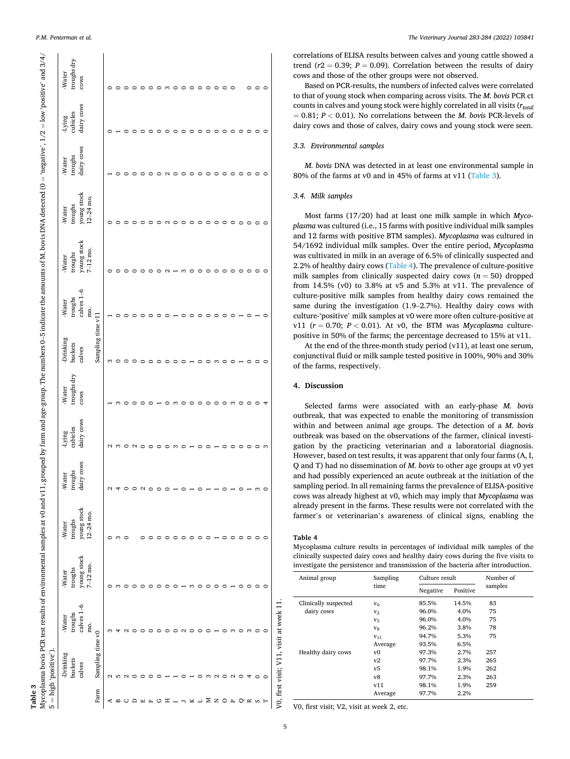*P.M. Penterman et al.* 

|                  | 5 = high 'positive').                   |                 |              |             |                       |            |             |                   |              |                         |                            |                 |            |                 |
|------------------|-----------------------------------------|-----------------|--------------|-------------|-----------------------|------------|-------------|-------------------|--------------|-------------------------|----------------------------|-----------------|------------|-----------------|
|                  | -Drinking                               | -Water          | -Water       | -Water      | -Water                | -Lying     | -Water      | -Drinking         | -Water       | -Water                  | -Water                     | -Water          | -Lying     | -Water          |
|                  | buckets                                 | troughs         | troughs      | troughs     | troughs<br>dairy cows | cubicles   | troughs dry | buckets           | troughs      | troughs                 | troughs                    | troughs         | cubicles   | troughs dry     |
|                  | calves                                  | calves $1-6$    | young stock  | young stock |                       | dairy cows | cows        | calves            | calves $1-6$ | young stock<br>7–12 mo. | young stock<br>$12-24$ mo. | dairy cows      | dairy cows | cows            |
|                  |                                         | mo.             | $7 - 12$ mo. | 12-24 mo.   |                       |            |             |                   | mo.          |                         |                            |                 |            |                 |
| Farm             | Sampling time v0                        |                 |              |             |                       |            |             | Sampling time v11 |              |                         |                            |                 |            |                 |
| ⋖                | $\mathbf{\Omega}$                       |                 |              |             | $\mathbf \sim$        |            |             | S                 |              | 0                       |                            |                 |            |                 |
| B                | LO.                                     |                 |              |             | 4                     |            | S           | $\circ$           |              |                         |                            |                 |            | $\circ$         |
| U                | $\mathbf{\sim}$                         |                 |              |             | ∊                     |            |             |                   |              |                         |                            |                 |            |                 |
| $\mathsf{D}$     |                                         |                 |              |             |                       |            |             |                   |              |                         |                            |                 |            | 0               |
| 田山               |                                         |                 |              |             | $\mathbf{\sim}$       |            |             | 0                 |              |                         |                            |                 |            |                 |
|                  |                                         |                 |              |             |                       |            |             |                   |              |                         |                            |                 |            |                 |
| ಲ                |                                         |                 |              |             |                       |            |             |                   |              |                         |                            |                 |            | $\circ$         |
| Ξ                |                                         |                 |              |             |                       |            |             |                   | $\circ$      | $\mathbf{\sim}$         | $\mathbf{\sim}$            | $\mathbf{\sim}$ |            | S               |
|                  |                                         |                 |              |             |                       |            | S           | ∘                 |              |                         |                            |                 |            | $\circ$         |
|                  |                                         | $\mathbf{\sim}$ |              |             | $\circ$               |            | $\circ$     | $\circ$           | $\circ$      | S                       |                            | $\circ$         |            | $\circ$         |
| ×                |                                         | $\circ$         | ∞            |             |                       |            | 0           |                   | $\circ$      | 0                       |                            |                 |            | $\circ$         |
| L                | 0                                       | $\circ$         |              |             |                       |            | 0           | $\circ$           | $\circ$      | $\circ$                 | $\circ$                    |                 | $\circ$    | $\circ$ $\circ$ |
| ≅                | S                                       | 0               |              |             |                       |            | $\circ$     | $\circ$           | $\circ$      | $\circ$                 | $\circ$                    |                 | $\circ$    |                 |
| $\mathbf{z}$     | $\sim$                                  |                 |              |             |                       |            | $\circ$     | S                 | $\circ$      | $\circ$                 |                            |                 |            | $\circ$         |
| O <sub>H</sub>   | $\circ$                                 | 0               |              | $\circ$     | 0                     |            | $\circ$     | $\circ$           | $\circ$      | $\circ$                 |                            | $\circ$         |            | $\circ$         |
|                  | $\mathbf{\sim}$                         | ∞               |              |             |                       |            | S           | $\circ$           | $\circ$      | $\circ$                 |                            | $\circ$         | $\circ$    | $\circ$         |
| $\mathsf{\circ}$ | $\circ$                                 |                 |              |             | $\circ$               |            | $\circ$     |                   |              | $\circ$                 | $\circ$                    | $\circ$         | $\circ$    |                 |
| $\approx$        | 4                                       | ∞               |              |             |                       |            | $\circ$     | $\circ$           |              | $\circ$                 | $\circ$                    | $\circ$         | $\circ$    | 00              |
| ΩH               | $\circ$                                 | 0               | ⊂            | ⊂           | - ന                   |            | $\circ$     | $\circ$           |              | $\circ$                 | $\circ$                    | $\circ$         | $\circ$    |                 |
|                  | 0                                       |                 | 0            |             | $\circ$               | 3          | 4           |                   |              | 0                       | 0                          | $\circ$         | $\circ$    | $\circ$         |
|                  | V0, first visit; V11, visit at week 11. |                 |              |             |                       |            |             |                   |              |                         |                            |                 |            |                 |

correlations of ELISA results between calves and young cattle showed a trend ( $r2 = 0.39$ ;  $P = 0.09$ ). Correlation between the results of dairy cows and those of the other groups were not observed.

Based on PCR-results, the numbers of infected calves were correlated to that of young stock when comparing across visits. The *M. bovis* PCR ct counts in calves and young stock were highly correlated in all visits (*rtotal*   $= 0.81$ ;  $P < 0.01$ ). No correlations between the *M*. bovis PCR-levels of dairy cows and those of calves, dairy cows and young stock were seen.

## *3.3. Environmental samples*

*M. bovis* DNA was detected in at least one environmental sample in 80% of the farms at v0 and in 45% of farms at v11 (Table 3).

## *3.4. Milk samples*

Most farms (17/20) had at least one milk sample in which *Mycoplasma* was cultured (i.e., 15 farms with positive individual milk samples and 12 farms with positive BTM samples). *Mycoplasma* was cultured in 54/1692 individual milk samples. Over the entire period, *Mycoplasma*  was cultivated in milk in an average of 6.5% of clinically suspected and 2.2% of healthy dairy cows (Table 4). The prevalence of culture-positive milk samples from clinically suspected dairy cows  $(n = 50)$  dropped from 14.5% (v0) to 3.8% at v5 and 5.3% at v11. The prevalence of culture-positive milk samples from healthy dairy cows remained the same during the investigation (1.9–2.7%). Healthy dairy cows with culture-'positive' milk samples at v0 were more often culture-positive at v11 ( $r = 0.70$ ;  $P < 0.01$ ). At v0, the BTM was *Mycoplasma* culturepositive in 50% of the farms; the percentage decreased to 15% at v11.

At the end of the three-month study period (v11), at least one serum, conjunctival fluid or milk sample tested positive in 100%, 90% and 30% of the farms, respectively.

## **4. Discussion**

Selected farms were associated with an early-phase *M. bovis*  outbreak, that was expected to enable the monitoring of transmission within and between animal age groups. The detection of a *M. bovis*  outbreak was based on the observations of the farmer, clinical investigation by the practicing veterinarian and a laboratorial diagnosis. However, based on test results, it was apparent that only four farms (A, I, Q and T) had no dissemination of *M. bovis* to other age groups at v0 yet and had possibly experienced an acute outbreak at the initiation of the sampling period. In all remaining farms the prevalence of ELISA-positive cows was already highest at v0, which may imply that *Mycoplasma* was already present in the farms. These results were not correlated with the farmer's or veterinarian's awareness of clinical signs, enabling the

**Table 4** 

Mycoplasma culture results in percentages of individual milk samples of the clinically suspected dairy cows and healthy dairy cows during the five visits to investigate the persistence and transmission of the bacteria after introduction.

| Animal group         | Sampling       | Culture result | Number of |         |
|----------------------|----------------|----------------|-----------|---------|
|                      | time           | Negative       | Positive  | samples |
| Clinically suspected | $V_0$          | 85.5%          | 14.5%     | 83      |
| dairy cows           | V <sub>2</sub> | 96.0%          | 4.0%      | 75      |
|                      | $V_{5}$        | 96.0%          | 4.0%      | 75      |
|                      | V <sub>8</sub> | 96.2%          | 3.8%      | 78      |
|                      | $V_{11}$       | 94.7%          | 5.3%      | 75      |
|                      | Average        | 93.5%          | 6.5%      |         |
| Healthy dairy cows   | v0             | 97.3%          | 2.7%      | 257     |
|                      | v2             | 97.7%          | 2.3%      | 265     |
|                      | v5             | 98.1%          | 1.9%      | 262     |
|                      | v8             | 97.7%          | 2.3%      | 263     |
|                      | v11            | 98.1%          | 1.9%      | 259     |
|                      | Average        | 97.7%          | 2.2%      |         |

V0, first visit; V2, visit at week 2, etc.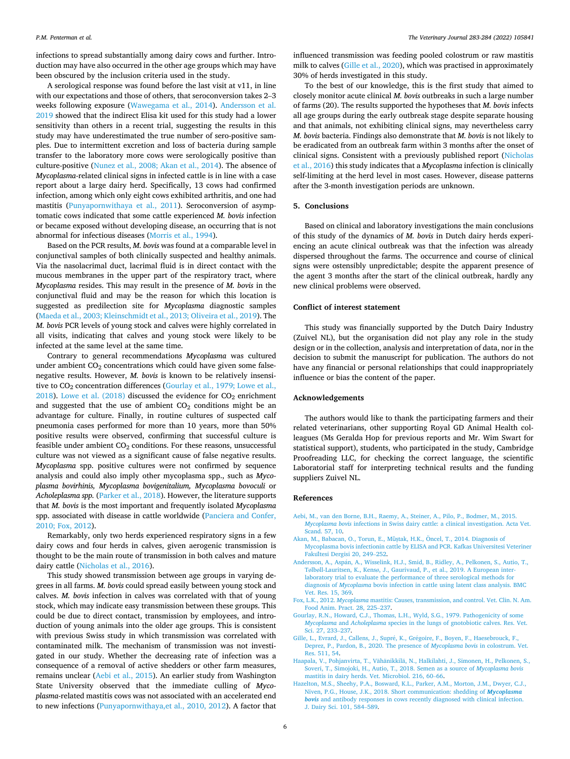<span id="page-5-0"></span>infections to spread substantially among dairy cows and further. Introduction may have also occurred in the other age groups which may have been obscured by the inclusion criteria used in the study.

A serological response was found before the last visit at v11, in line with our expectations and those of others, that seroconversion takes 2–3 weeks following exposure [\(Wawegama et al., 2014](#page-6-0)). Andersson et al. 2019 showed that the indirect Elisa kit used for this study had a lower sensitivity than others in a recent trial, suggesting the results in this study may have underestimated the true number of sero-positive samples. Due to intermittent excretion and loss of bacteria during sample transfer to the laboratory more cows were serologically positive than culture-positive [\(Nunez et al., 2008; Akan et al., 2014](#page-6-0)). The absence of *Mycoplasma*-related clinical signs in infected cattle is in line with a case report about a large dairy herd. Specifically, 13 cows had confirmed infection, among which only eight cows exhibited arthritis, and one had mastitis ([Punyapornwithaya et al., 2011\)](#page-6-0). Seroconversion of asymptomatic cows indicated that some cattle experienced *M. bovis* infection or became exposed without developing disease, an occurring that is not abnormal for infectious diseases [\(Morris et al., 1994](#page-6-0)).

Based on the PCR results, *M. bovis* was found at a comparable level in conjunctival samples of both clinically suspected and healthy animals. Via the nasolacrimal duct, lacrimal fluid is in direct contact with the mucous membranes in the upper part of the respiratory tract, where *Mycoplasma* resides. This may result in the presence of *M. bovis* in the conjunctival fluid and may be the reason for which this location is suggested as predilection site for *Mycoplasma* diagnostic samples ([Maeda et al., 2003; Kleinschmidt et al., 2013; Oliveira et al., 2019](#page-6-0)). The *M. bovis* PCR levels of young stock and calves were highly correlated in all visits, indicating that calves and young stock were likely to be infected at the same level at the same time.

Contrary to general recommendations *Mycoplasma* was cultured under ambient  $CO<sub>2</sub>$  concentrations which could have given some falsenegative results. However, *M. bovis* is known to be relatively insensitive to CO<sub>2</sub> concentration differences (Gourlay et al., 1979; Lowe et al., 2018). [Lowe et al. \(2018\)](#page-6-0) discussed the evidence for  $CO<sub>2</sub>$  enrichment and suggested that the use of ambient  $CO<sub>2</sub>$  conditions might be an advantage for culture. Finally, in routine cultures of suspected calf pneumonia cases performed for more than 10 years, more than 50% positive results were observed, confirming that successful culture is feasible under ambient  $CO<sub>2</sub>$  conditions. For these reasons, unsuccessful culture was not viewed as a significant cause of false negative results. *Mycoplasma* spp. positive cultures were not confirmed by sequence analysis and could also imply other mycoplasma spp., such as *Mycoplasma bovirhinis, Mycoplasma bovigenitalium, Mycoplasma bovoculi* or *Acholeplasma spp.* ([Parker et al., 2018\)](#page-6-0). However, the literature supports that *M. bovis* is the most important and frequently isolated *Mycoplasma*  spp. associated with disease in cattle worldwide [\(Panciera and Confer,](#page-6-0)  [2010; Fox, 2012](#page-6-0)).

Remarkably, only two herds experienced respiratory signs in a few dairy cows and four herds in calves, given aerogenic transmission is thought to be the main route of transmission in both calves and mature dairy cattle [\(Nicholas et al., 2016](#page-6-0)).

This study showed transmission between age groups in varying degrees in all farms. *M. bovis* could spread easily between young stock and calves. *M. bovis* infection in calves was correlated with that of young stock, which may indicate easy transmission between these groups. This could be due to direct contact, transmission by employees, and introduction of young animals into the older age groups. This is consistent with previous Swiss study in which transmission was correlated with contaminated milk. The mechanism of transmission was not investigated in our study. Whether the decreasing rate of infection was a consequence of a removal of active shedders or other farm measures, remains unclear (Aebi et al., 2015). An earlier study from Washington State University observed that the immediate culling of *Mycoplasma*-related mastitis cows was not associated with an accelerated end to new infections [\(Punyapornwithaya,et al., 2010, 2012](#page-6-0)). A factor that

influenced transmission was feeding pooled colostrum or raw mastitis milk to calves (Gille et al., 2020), which was practised in approximately 30% of herds investigated in this study.

To the best of our knowledge, this is the first study that aimed to closely monitor acute clinical *M. bovis* outbreaks in such a large number of farms (20). The results supported the hypotheses that *M. bovis* infects all age groups during the early outbreak stage despite separate housing and that animals, not exhibiting clinical signs, may nevertheless carry *M. bovis* bacteria. Findings also demonstrate that *M. bovis* is not likely to be eradicated from an outbreak farm within 3 months after the onset of clinical signs. Consistent with a previously published report [\(Nicholas](#page-6-0)  [et al., 2016\)](#page-6-0) this study indicates that a *Mycoplasma* infection is clinically self-limiting at the herd level in most cases. However, disease patterns after the 3-month investigation periods are unknown.

#### **5. Conclusions**

Based on clinical and laboratory investigations the main conclusions of this study of the dynamics of *M. bovis* in Dutch dairy herds experiencing an acute clinical outbreak was that the infection was already dispersed throughout the farms. The occurrence and course of clinical signs were ostensibly unpredictable; despite the apparent presence of the agent 3 months after the start of the clinical outbreak, hardly any new clinical problems were observed.

### **Conflict of interest statement**

This study was financially supported by the Dutch Dairy Industry (Zuivel NL), but the organisation did not play any role in the study design or in the collection, analysis and interpretation of data, nor in the decision to submit the manuscript for publication. The authors do not have any financial or personal relationships that could inappropriately influence or bias the content of the paper.

## **Acknowledgements**

The authors would like to thank the participating farmers and their related veterinarians, other supporting Royal GD Animal Health colleagues (Ms Geralda Hop for previous reports and Mr. Wim Swart for statistical support), students, who participated in the study, Cambridge Proofreading LLC, for checking the correct language, the scientific Laboratorial staff for interpreting technical results and the funding suppliers Zuivel NL.

## **References**

- [Aebi, M., van den Borne, B.H., Raemy, A., Steiner, A., Pilo, P., Bodmer, M., 2015.](http://refhub.elsevier.com/S1090-0233(22)00056-9/sbref1)  *Mycoplasma bovis* [infections in Swiss dairy cattle: a clinical investigation. Acta Vet.](http://refhub.elsevier.com/S1090-0233(22)00056-9/sbref1) [Scand. 57, 10.](http://refhub.elsevier.com/S1090-0233(22)00056-9/sbref1)
- [Akan, M., Babacan, O., Torun, E., M](http://refhub.elsevier.com/S1090-0233(22)00056-9/sbref2)üştak, H.K., Öncel, T., 2014. Diagnosis of [Mycoplasma bovis infectionin cattle by ELISA and PCR. Kafkas U](http://refhub.elsevier.com/S1090-0233(22)00056-9/sbref2)niversitesi Veteriner
- Faku[ltesi Dergisi 20, 249](http://refhub.elsevier.com/S1090-0233(22)00056-9/sbref2)–252. Andersson, A., Aspán, [A., Wisselink, H.J., Smid, B., Ridley, A., Pelkonen, S., Autio, T.,](http://refhub.elsevier.com/S1090-0233(22)00056-9/sbref3) Tølbøll-Lauritsen, K., Kensø[, J., Gaurivaud, P., et al., 2019. A European inter-](http://refhub.elsevier.com/S1090-0233(22)00056-9/sbref3)
- [laboratory trial to evaluate the performance of three serological methods for](http://refhub.elsevier.com/S1090-0233(22)00056-9/sbref3) diagnosis of *Mycoplasma* [bovis infection in cattle using latent class analysis. BMC](http://refhub.elsevier.com/S1090-0233(22)00056-9/sbref3) [Vet. Res. 15, 369.](http://refhub.elsevier.com/S1090-0233(22)00056-9/sbref3)
- Fox, L.K., 2012. *Mycoplasma* [mastitis: Causes, transmission, and control. Vet. Clin. N. Am.](http://refhub.elsevier.com/S1090-0233(22)00056-9/sbref4)  [Food Anim. Pract. 28, 225](http://refhub.elsevier.com/S1090-0233(22)00056-9/sbref4)–237.
- [Gourlay, R.N., Howard, C.J., Thomas, L.H., Wyld, S.G., 1979. Pathogenicity of some](http://refhub.elsevier.com/S1090-0233(22)00056-9/sbref5) *Mycoplasma* and *Acholeplasma* [species in the lungs of gnotobiotic calves. Res. Vet.](http://refhub.elsevier.com/S1090-0233(22)00056-9/sbref5)  [Sci. 27, 233](http://refhub.elsevier.com/S1090-0233(22)00056-9/sbref5)–237.
- Gille, L., Evrard, J., Callens, J., Supré, K., Grégoire, F., Boyen, F., Haesebrouck, F., [Deprez, P., Pardon, B., 2020. The presence of](http://refhub.elsevier.com/S1090-0233(22)00056-9/sbref6) *Mycoplasma bovis* in colostrum. Vet. [Res. 511, 54](http://refhub.elsevier.com/S1090-0233(22)00056-9/sbref6).
- Haapala, V., Pohjanvirta, T., Vähänikkilä, N., Halkilahti, J., Simonen, H., Pelkonen, S., [Soveri, T., Simojoki, H., Autio, T., 2018. Semen as a source of](http://refhub.elsevier.com/S1090-0233(22)00056-9/sbref7) *Mycoplasma bovis*  [mastitis in dairy herds. Vet. Microbiol. 216, 60](http://refhub.elsevier.com/S1090-0233(22)00056-9/sbref7)–66.
- [Hazelton, M.S., Sheehy, P.A., Bosward, K.L., Parker, A.M., Morton, J.M., Dwyer, C.J.,](http://refhub.elsevier.com/S1090-0233(22)00056-9/sbref8) [Niven, P.G., House, J.K., 2018. Short communication: shedding of](http://refhub.elsevier.com/S1090-0233(22)00056-9/sbref8) *Mycoplasma bovis* [and antibody responses in cows recently diagnosed with clinical infection.](http://refhub.elsevier.com/S1090-0233(22)00056-9/sbref8)  [J. Dairy Sci. 101, 584](http://refhub.elsevier.com/S1090-0233(22)00056-9/sbref8)–589.